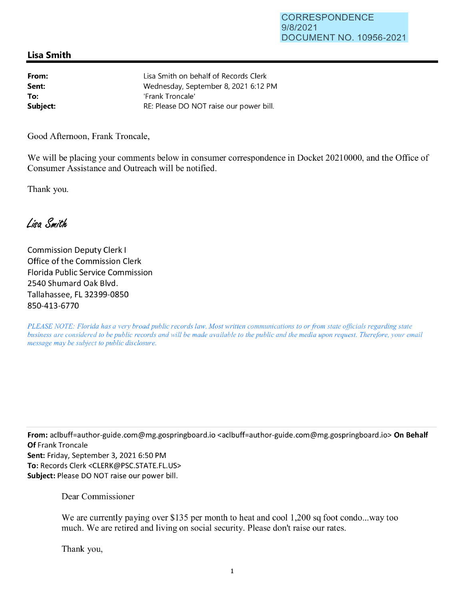## **Lisa Smith**

| From:    | Lisa S |
|----------|--------|
| Sent:    | Wedr   |
| To:      | 'Franl |
| Subject: | RE: PI |

imith on behalf of Records Clerk esday, September 8, 2021 6:12 PM k Troncale' lease DO NOT raise our power bill.

Good Afternoon, Frank Troncale,

We will be placing your comments below in consumer correspondence in Docket 20210000, and the Office of Consumer Assistance and Outreach will be notified.

Thank you.

Lisa Smith

Commission Deputy Clerk I Office of the Commission Clerk Florida Public Service Commission 2540 Shumard Oak Blvd. Tallahassee, FL 32399-0850 850-413-6770

*PLEASE NOTE: Florida has a very broad public records law. Most written communications to or from state officials regarding state business are considered to be public records and will be made available to the public and the media upon request. Therefore, your email message may be subject to public disclosure.* 

**From:** aclbuff=author-guide.com@mg.gospringboard.io <aclbuff=author-guide.com@mg.gospringboard.io> **On Behalf Of** Frank Troncale **Sent:** Friday, September 3, 2021 6:50 PM **To:** Records Clerk <CLERK@PSC.STATE.FL.US> **Subject:** Please DO NOT raise our power bill.

Dear Commissioner

We are currently paying over \$135 per month to heat and cool 1,200 sq foot condo...way too much. We are retired and living on social security. Please don't raise our rates.

Thank you,